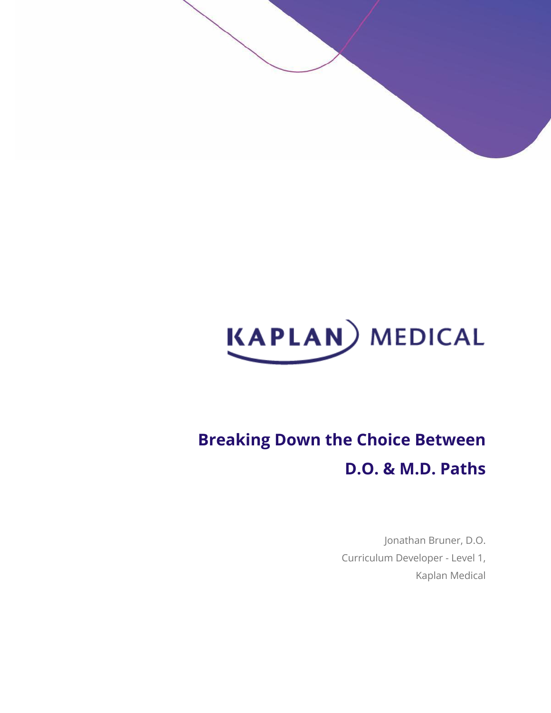

# **Breaking Down the Choice Between D.O. & M.D. Paths**

Jonathan Bruner, D.O. Curriculum Developer - Level 1, Kaplan Medical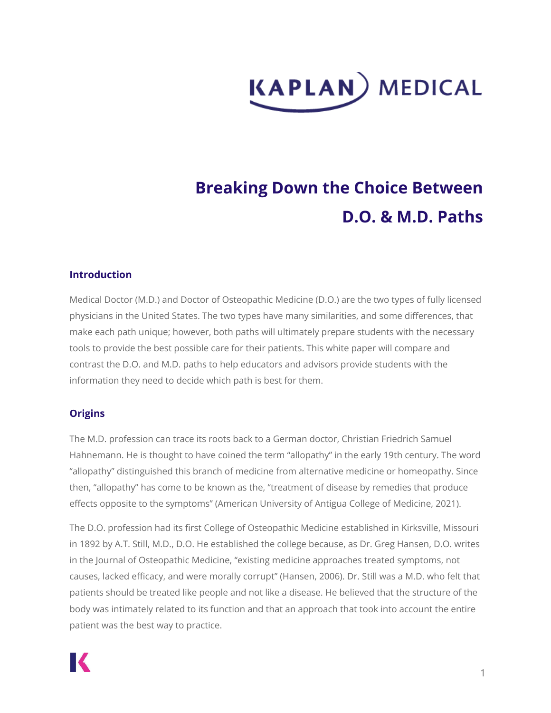# **KAPLAN**) MEDICAL

# **Breaking Down the Choice Between D.O. & M.D. Paths**

#### **Introduction**

Medical Doctor (M.D.) and Doctor of Osteopathic Medicine (D.O.) are the two types of fully licensed physicians in the United States. The two types have many similarities, and some differences, that make each path unique; however, both paths will ultimately prepare students with the necessary tools to provide the best possible care for their patients. This white paper will compare and contrast the D.O. and M.D. paths to help educators and advisors provide students with the information they need to decide which path is best for them.

# **Origins**

The M.D. profession can trace its roots back to a German doctor, Christian Friedrich Samuel Hahnemann. He is thought to have coined the term "allopathy" in the early 19th century. The word "allopathy" distinguished this branch of medicine from alternative medicine or homeopathy. Since then, "allopathy" has come to be known as the, "treatment of disease by remedies that produce effects opposite to the symptoms" (American University of Antigua College of Medicine, 2021).

The D.O. profession had its first College of Osteopathic Medicine established in Kirksville, Missouri in 1892 by A.T. Still, M.D., D.O. He established the college because, as Dr. Greg Hansen, D.O. writes in the Journal of Osteopathic Medicine, "existing medicine approaches treated symptoms, not causes, lacked efficacy, and were morally corrupt" (Hansen, 2006). Dr. Still was a M.D. who felt that patients should be treated like people and not like a disease. He believed that the structure of the body was intimately related to its function and that an approach that took into account the entire patient was the best way to practice.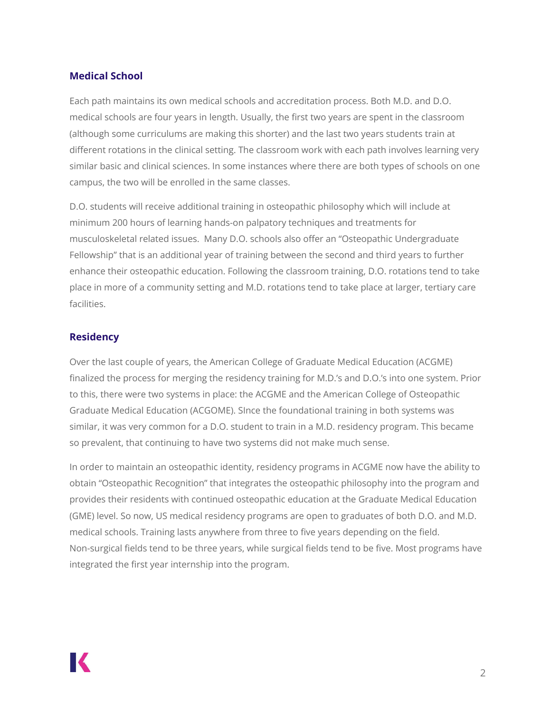#### **Medical School**

Each path maintains its own medical schools and accreditation process. Both M.D. and D.O. medical schools are four years in length. Usually, the first two years are spent in the classroom (although some curriculums are making this shorter) and the last two years students train at different rotations in the clinical setting. The classroom work with each path involves learning very similar basic and clinical sciences. In some instances where there are both types of schools on one campus, the two will be enrolled in the same classes.

D.O. students will receive additional training in osteopathic philosophy which will include at minimum 200 hours of learning hands-on palpatory techniques and treatments for musculoskeletal related issues. Many D.O. schools also offer an "Osteopathic Undergraduate Fellowship" that is an additional year of training between the second and third years to further enhance their osteopathic education. Following the classroom training, D.O. rotations tend to take place in more of a community setting and M.D. rotations tend to take place at larger, tertiary care facilities.

#### **Residency**

Over the last couple of years, the American College of Graduate Medical Education (ACGME) finalized the process for merging the residency training for M.D.'s and D.O.'s into one system. Prior to this, there were two systems in place: the ACGME and the American College of Osteopathic Graduate Medical Education (ACGOME). SInce the foundational training in both systems was similar, it was very common for a D.O. student to train in a M.D. residency program. This became so prevalent, that continuing to have two systems did not make much sense.

In order to maintain an osteopathic identity, residency programs in ACGME now have the ability to obtain "Osteopathic Recognition" that integrates the osteopathic philosophy into the program and provides their residents with continued osteopathic education at the Graduate Medical Education (GME) level. So now, US medical residency programs are open to graduates of both D.O. and M.D. medical schools. Training lasts anywhere from three to five years depending on the field. Non-surgical fields tend to be three years, while surgical fields tend to be five. Most programs have integrated the first year internship into the program.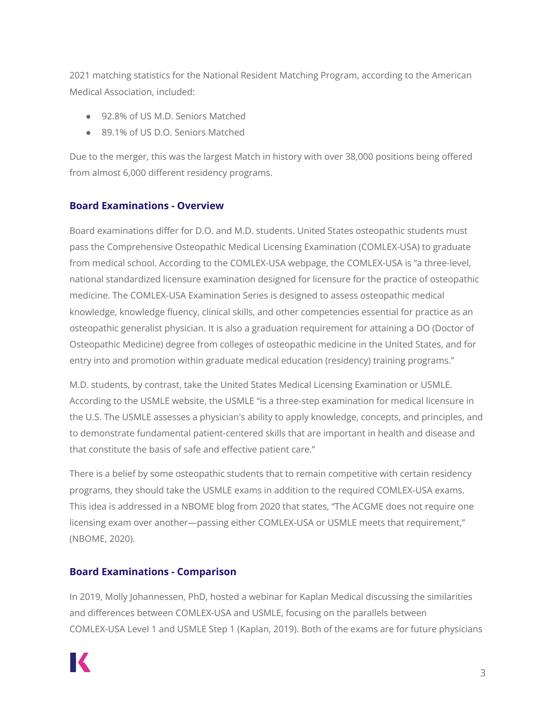2021 matching statistics for the National Resident Matching Program, according to the American Medical Association, included:

- 92.8% of US M.D. Seniors Matched
- 89.1% of US D.O. Seniors Matched

Due to the merger, this was the largest Match in history with over 38,000 positions being offered from almost 6,000 different residency programs.

# **Board Examinations - Overview**

Board examinations differ for D.O. and M.D. students. United States osteopathic students must pass the Comprehensive Osteopathic Medical Licensing Examination (COMLEX-USA) to graduate from medical school. According to the COMLEX-USA webpage, the COMLEX-USA is "a three-level, national standardized licensure examination designed for licensure for the practice of osteopathic medicine. The COMLEX-USA Examination Series is designed to assess osteopathic medical knowledge, knowledge fluency, clinical skills, and other competencies essential for practice as an osteopathic generalist physician. It is also a graduation requirement for attaining a DO (Doctor of Osteopathic Medicine) degree from colleges of osteopathic medicine in the United States, and for entry into and promotion within graduate medical education (residency) training programs."

M.D. students, by contrast, take the United States Medical Licensing Examination or USMLE. According to the USMLE website, the USMLE "is a three-step examination for medical licensure in the U.S. The USMLE assesses a physician's ability to apply knowledge, concepts, and principles, and to demonstrate fundamental patient-centered skills that are important in health and disease and that constitute the basis of safe and effective patient care."

There is a belief by some osteopathic students that to remain competitive with certain residency programs, they should take the USMLE exams in addition to the required COMLEX-USA exams. This idea is addressed in a NBOME blog from 2020 that states, "The ACGME does not require one licensing exam over another—passing either COMLEX-USA or USMLE meets that requirement," (NBOME, 2020).

# **Board Examinations - Comparison**

In 2019, Molly Johannessen, PhD, hosted a webinar for Kaplan Medical discussing the similarities and differences between COMLEX-USA and USMLE, focusing on the parallels between COMLEX-USA Level 1 and USMLE Step 1 (Kaplan, 2019). Both of the exams are for future physicians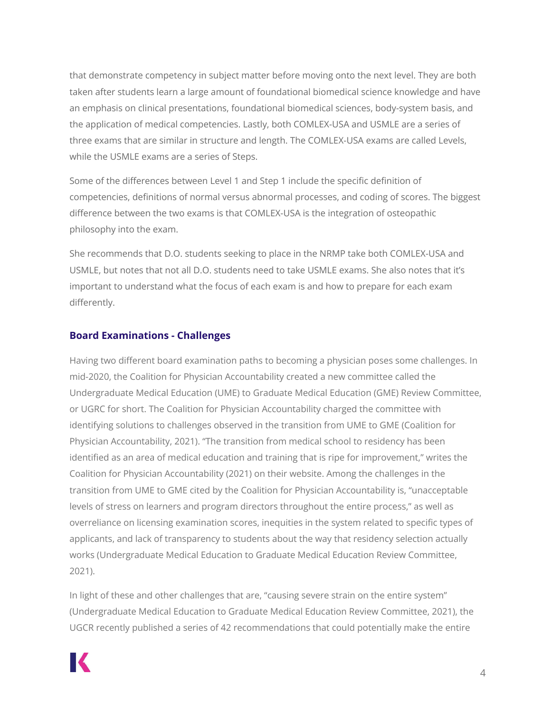that demonstrate competency in subject matter before moving onto the next level. They are both taken after students learn a large amount of foundational biomedical science knowledge and have an emphasis on clinical presentations, foundational biomedical sciences, body-system basis, and the application of medical competencies. Lastly, both COMLEX-USA and USMLE are a series of three exams that are similar in structure and length. The COMLEX-USA exams are called Levels, while the USMLE exams are a series of Steps.

Some of the differences between Level 1 and Step 1 include the specific definition of competencies, definitions of normal versus abnormal processes, and coding of scores. The biggest difference between the two exams is that COMLEX-USA is the integration of osteopathic philosophy into the exam.

She recommends that D.O. students seeking to place in the NRMP take both COMLEX-USA and USMLE, but notes that not all D.O. students need to take USMLE exams. She also notes that it's important to understand what the focus of each exam is and how to prepare for each exam differently.

#### **Board Examinations - Challenges**

Having two different board examination paths to becoming a physician poses some challenges. In mid-2020, the Coalition for Physician Accountability created a new committee called the Undergraduate Medical Education (UME) to Graduate Medical Education (GME) Review Committee, or UGRC for short. The Coalition for Physician Accountability charged the committee with identifying solutions to challenges observed in the transition from UME to GME (Coalition for Physician Accountability, 2021). "The transition from medical school to residency has been identified as an area of medical education and training that is ripe for improvement," writes the Coalition for Physician Accountability (2021) on their website. Among the challenges in the transition from UME to GME cited by the Coalition for Physician Accountability is, "unacceptable levels of stress on learners and program directors throughout the entire process," as well as overreliance on licensing examination scores, inequities in the system related to specific types of applicants, and lack of transparency to students about the way that residency selection actually works (Undergraduate Medical Education to Graduate Medical Education Review Committee, 2021).

In light of these and other challenges that are, "causing severe strain on the entire system" (Undergraduate Medical Education to Graduate Medical Education Review Committee, 2021), the UGCR recently published a series of 42 recommendations that could potentially make the entire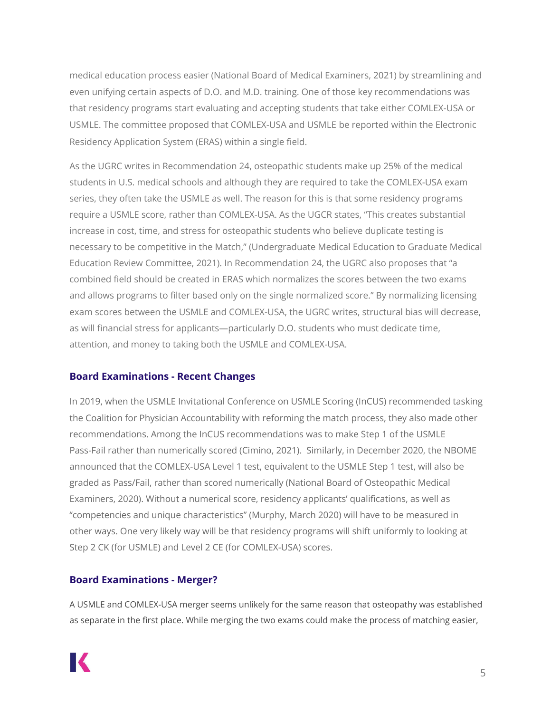medical education process easier (National Board of Medical Examiners, 2021) by streamlining and even unifying certain aspects of D.O. and M.D. training. One of those key recommendations was that residency programs start evaluating and accepting students that take either COMLEX-USA or USMLE. The committee proposed that COMLEX-USA and USMLE be reported within the Electronic Residency Application System (ERAS) within a single field.

As the UGRC writes in Recommendation 24, osteopathic students make up 25% of the medical students in U.S. medical schools and although they are required to take the COMLEX-USA exam series, they often take the USMLE as well. The reason for this is that some residency programs require a USMLE score, rather than COMLEX-USA. As the UGCR states, "This creates substantial increase in cost, time, and stress for osteopathic students who believe duplicate testing is necessary to be competitive in the Match," (Undergraduate Medical Education to Graduate Medical Education Review Committee, 2021). In Recommendation 24, the UGRC also proposes that "a combined field should be created in ERAS which normalizes the scores between the two exams and allows programs to filter based only on the single normalized score." By normalizing licensing exam scores between the USMLE and COMLEX-USA, the UGRC writes, structural bias will decrease, as will financial stress for applicants―particularly D.O. students who must dedicate time, attention, and money to taking both the USMLE and COMLEX-USA.

# **Board Examinations - Recent Changes**

In 2019, when the USMLE Invitational Conference on USMLE Scoring (InCUS) recommended tasking the Coalition for Physician Accountability with reforming the match process, they also made other recommendations. Among the InCUS recommendations was to make Step 1 of the USMLE Pass-Fail rather than numerically scored (Cimino, 2021). Similarly, in December 2020, the NBOME announced that the COMLEX-USA Level 1 test, equivalent to the USMLE Step 1 test, will also be graded as Pass/Fail, rather than scored numerically (National Board of Osteopathic Medical Examiners, 2020). Without a numerical score, residency applicants' qualifications, as well as "competencies and unique characteristics" (Murphy, March 2020) will have to be measured in other ways. One very likely way will be that residency programs will shift uniformly to looking at Step 2 CK (for USMLE) and Level 2 CE (for COMLEX-USA) scores.

# **Board Examinations - Merger?**

A USMLE and COMLEX-USA merger seems unlikely for the same reason that osteopathy was established as separate in the first place. While merging the two exams could make the process of matching easier,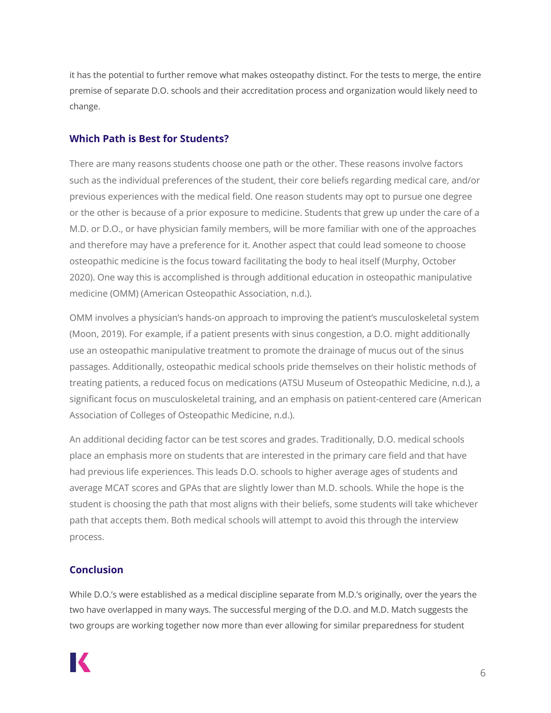it has the potential to further remove what makes osteopathy distinct. For the tests to merge, the entire premise of separate D.O. schools and their accreditation process and organization would likely need to change.

#### **Which Path is Best for Students?**

There are many reasons students choose one path or the other. These reasons involve factors such as the individual preferences of the student, their core beliefs regarding medical care, and/or previous experiences with the medical field. One reason students may opt to pursue one degree or the other is because of a prior exposure to medicine. Students that grew up under the care of a M.D. or D.O., or have physician family members, will be more familiar with one of the approaches and therefore may have a preference for it. Another aspect that could lead someone to choose osteopathic medicine is the focus toward facilitating the body to heal itself (Murphy, October 2020). One way this is accomplished is through additional education in osteopathic manipulative medicine (OMM) (American Osteopathic Association, n.d.).

OMM involves a physician's hands-on approach to improving the patient's musculoskeletal system (Moon, 2019). For example, if a patient presents with sinus congestion, a D.O. might additionally use an osteopathic manipulative treatment to promote the drainage of mucus out of the sinus passages. Additionally, osteopathic medical schools pride themselves on their holistic methods of treating patients, a reduced focus on medications (ATSU Museum of Osteopathic Medicine, n.d.), a significant focus on musculoskeletal training, and an emphasis on patient-centered care (American Association of Colleges of Osteopathic Medicine, n.d.).

An additional deciding factor can be test scores and grades. Traditionally, D.O. medical schools place an emphasis more on students that are interested in the primary care field and that have had previous life experiences. This leads D.O. schools to higher average ages of students and average MCAT scores and GPAs that are slightly lower than M.D. schools. While the hope is the student is choosing the path that most aligns with their beliefs, some students will take whichever path that accepts them. Both medical schools will attempt to avoid this through the interview process.

#### **Conclusion**

While D.O.'s were established as a medical discipline separate from M.D.'s originally, over the years the two have overlapped in many ways. The successful merging of the D.O. and M.D. Match suggests the two groups are working together now more than ever allowing for similar preparedness for student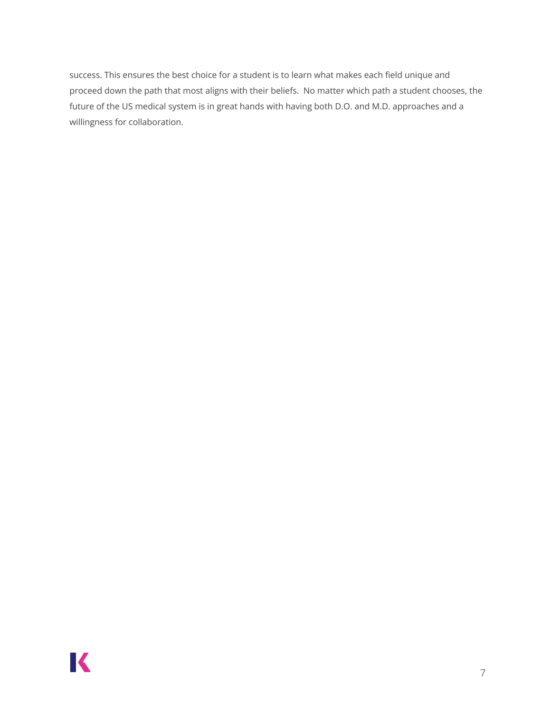success. This ensures the best choice for a student is to learn what makes each field unique and proceed down the path that most aligns with their beliefs. No matter which path a student chooses, the future of the US medical system is in great hands with having both D.O. and M.D. approaches and a willingness for collaboration.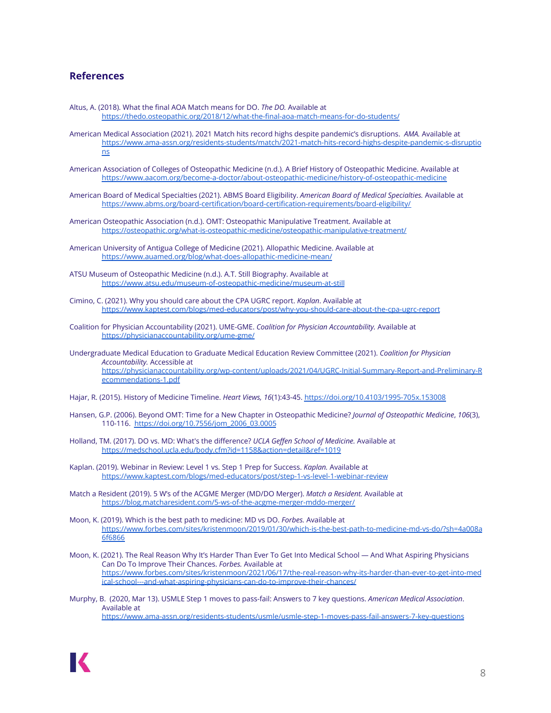#### **References**

- Altus, A. (2018). What the final AOA Match means for DO. *The DO.* Available at <https://thedo.osteopathic.org/2018/12/what-the-final-aoa-match-means-for-do-students/>
- American Medical Association (2021). 2021 Match hits record highs despite pandemic's disruptions. *AMA.* Available at [https://www.ama-assn.org/residents-students/match/2021-match-hits-record-highs-despite-pandemic-s-disruptio](https://www.ama-assn.org/residents-students/match/2021-match-hits-record-highs-despite-pandemic-s-disruptions) [ns](https://www.ama-assn.org/residents-students/match/2021-match-hits-record-highs-despite-pandemic-s-disruptions)
- American Association of Colleges of Osteopathic Medicine (n.d.). A Brief History of Osteopathic Medicine. Available at <https://www.aacom.org/become-a-doctor/about-osteopathic-medicine/history-of-osteopathic-medicine>
- American Board of Medical Specialties (2021). ABMS Board Eligibility. *American Board of Medical Specialties.* Available at <https://www.abms.org/board-certification/board-certification-requirements/board-eligibility/>
- American Osteopathic Association (n.d.). OMT: Osteopathic Manipulative Treatment. Available at <https://osteopathic.org/what-is-osteopathic-medicine/osteopathic-manipulative-treatment/>
- American University of Antigua College of Medicine (2021). Allopathic Medicine. Available at <https://www.auamed.org/blog/what-does-allopathic-medicine-mean/>
- ATSU Museum of Osteopathic Medicine (n.d.). A.T. Still Biography. Available at <https://www.atsu.edu/museum-of-osteopathic-medicine/museum-at-still>
- Cimino, C. (2021). Why you should care about the CPA UGRC report. *Kaplan*. Available at <https://www.kaptest.com/blogs/med-educators/post/why-you-should-care-about-the-cpa-ugrc-report>
- Coalition for Physician Accountability (2021). UME-GME. *Coalition for Physician Accountability.* Available at <https://physicianaccountability.org/ume-gme/>
- Undergraduate Medical Education to Graduate Medical Education Review Committee (2021). *Coalition for Physician Accountability.* Accessible at [https://physicianaccountability.org/wp-content/uploads/2021/04/UGRC-Initial-Summary-Report-and-Preliminary-R](https://physicianaccountability.org/wp-content/uploads/2021/04/UGRC-Initial-Summary-Report-and-Preliminary-Recommendations-1.pdf) [ecommendations-1.pdf](https://physicianaccountability.org/wp-content/uploads/2021/04/UGRC-Initial-Summary-Report-and-Preliminary-Recommendations-1.pdf)
- Hajar, R. (2015). History of Medicine Timeline. *Heart Views, 16*(1):43-45. <https://doi.org/10.4103/1995-705x.153008>
- Hansen, G.P. (2006). Beyond OMT: Time for a New Chapter in Osteopathic Medicine? *Journal of Osteopathic Medicine*, *106*(3), 110-116. [https://doi.org/10.7556/jom\\_2006\\_03.0005](https://doi.org/10.7556/jom_2006_03.0005)
- Holland, TM. (2017). DO vs. MD: What's the difference? *UCLA Geffen School of Medicine.* Available at <https://medschool.ucla.edu/body.cfm?id=1158&action=detail&ref=1019>
- Kaplan. (2019). Webinar in Review: Level 1 vs. Step 1 Prep for Success. *Kaplan.* Available at <https://www.kaptest.com/blogs/med-educators/post/step-1-vs-level-1-webinar-review>
- Match a Resident (2019). 5 W's of the ACGME Merger (MD/DO Merger). *Match a Resident.* Available at <https://blog.matcharesident.com/5-ws-of-the-acgme-merger-mddo-merger/>
- Moon, K. (2019). Which is the best path to medicine: MD vs DO. *Forbes.* Available at [https://www.forbes.com/sites/kristenmoon/2019/01/30/which-is-the-best-path-to-medicine-md-vs-do/?sh=4a008a](https://www.forbes.com/sites/kristenmoon/2019/01/30/which-is-the-best-path-to-medicine-md-vs-do/?sh=4a008a6f6866) [6f6866](https://www.forbes.com/sites/kristenmoon/2019/01/30/which-is-the-best-path-to-medicine-md-vs-do/?sh=4a008a6f6866)
- Moon, K. (2021). The Real Reason Why It's Harder Than Ever To Get Into Medical School And What Aspiring Physicians Can Do To Improve Their Chances. *Forbes.* Available at [https://www.forbes.com/sites/kristenmoon/2021/06/17/the-real-reason-why-its-harder-than-ever-to-get-into-med](https://www.forbes.com/sites/kristenmoon/2021/06/17/the-real-reason-why-its-harder-than-ever-to-get-into-medical-school---and-what-aspiring-physicians-can-do-to-improve-their-chances/?sh=7cfd8c0b57cc) [ical-school---and-what-aspiring-physicians-can-do-to-improve-their-chances/](https://www.forbes.com/sites/kristenmoon/2021/06/17/the-real-reason-why-its-harder-than-ever-to-get-into-medical-school---and-what-aspiring-physicians-can-do-to-improve-their-chances/?sh=7cfd8c0b57cc)
- Murphy, B. (2020, Mar 13). USMLE Step 1 moves to pass-fail: Answers to 7 key questions. *American Medical Association*. Available at <https://www.ama-assn.org/residents-students/usmle/usmle-step-1-moves-pass-fail-answers-7-key-questions>